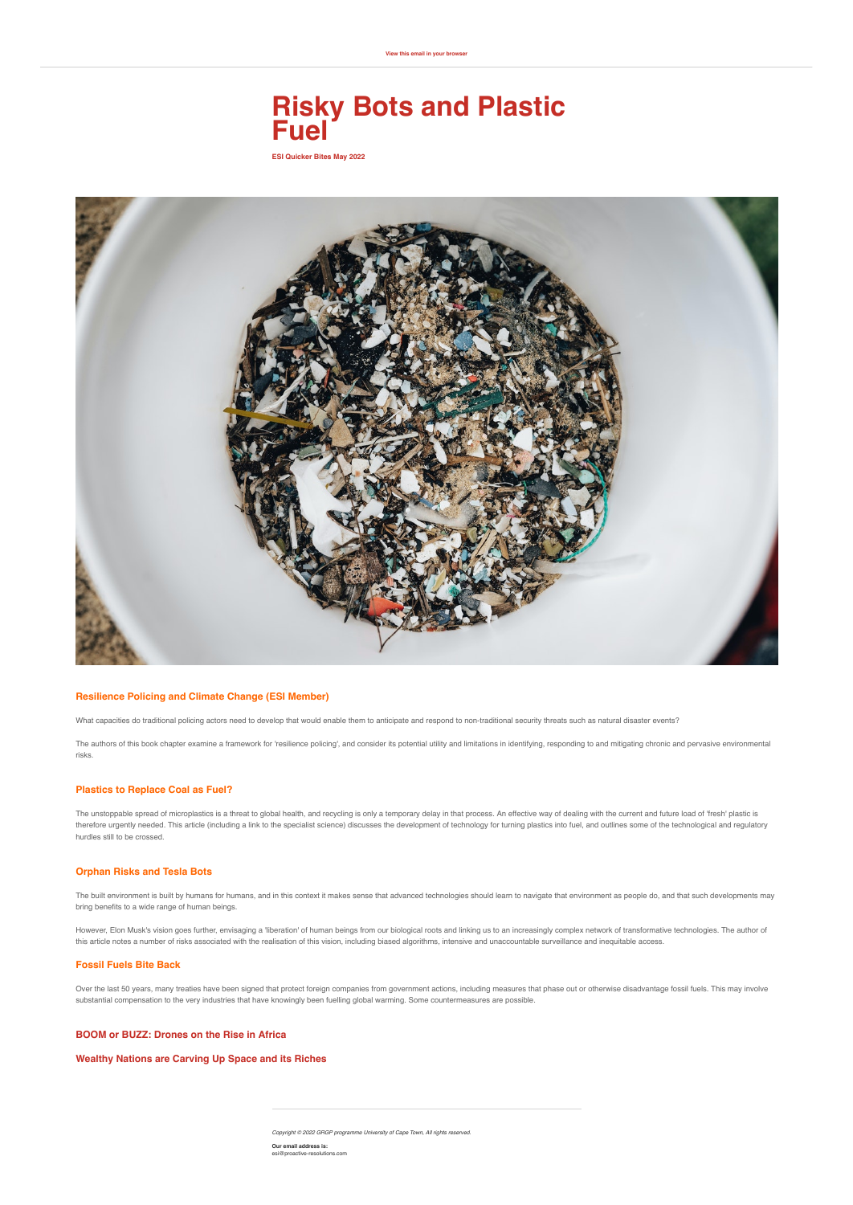# **Risky Bots and Plastic Fuel**

**[View this email in your browser](https://mailchi.mp/dc7982c508f1/risky-business-assessing-multiple-interacting-risks-of-climate-change-7169909?e=[UNIQID])**

**ESI Quicker Bites May 2022**



### **[Resilience Policing and Climate Change \(ESI Member\)](https://www.crimrxiv.com/pub/x2f10zw4/release/1)**

What capacities do traditional policing actors need to develop that would enable them to anticipate and respond to non-traditional security threats such as natural disaster events?

The authors of this book chapter examine a framework for 'resilience policing', and consider its potential utility and limitations in identifying, responding to and mitigating chronic and pervasive environmental risks.

## **[Plastics to Replace Coal as Fuel?](https://www.dailymaverick.co.za/article/2022-05-10-waste-plastic-could-outstrip-coal-as-a-viable-energy-source/)**

The unstoppable spread of microplastics is a threat to global health, and recycling is only a temporary delay in that process. An effective way of dealing with the current and future load of 'fresh' plastic is therefore urgently needed. This article (including a link to the specialist science) discusses the development of technology for turning plastics into fuel, and outlines some of the technological and regulatory hurdles still to be crossed.

# **[Orphan Risks and Tesla Bots](https://theconversation.com/elon-musks-tesla-bot-raises-serious-concerns-but-probably-not-the-ones-you-think-166714)**

The built environment is built by humans for humans, and in this context it makes sense that advanced technologies should learn to navigate that environment as people do, and that such developments may bring benefits to a wide range of human beings.

However, Elon Musk's vision goes further, envisaging a 'liberation' of human beings from our biological roots and linking us to an increasingly complex network of transformative technologies. The author of this article notes a number of risks associated with the realisation of this vision, including biased algorithms, intensive and unaccountable surveillance and inequitable access.

# **[Fossil Fuels Bite Back](https://theconversation.com/how-treaties-protecting-fossil-fuel-investors-could-jeopardize-global-efforts-to-save-the-climate-and-cost-countries-billions-182135?utm_medium=email&utm_campaign=Latest%20from%20The%20Conversation%20for%20May%208%202022%20-%202284122711&utm_content=Latest%20from%20The%20Conversation%20for%20May%208%202022%20-%202284122711+CID_66f007c4b848efee2b69e4b5093f8070&utm_source=campaign_monitor_africa&utm_term=How%20treaties%20protecting%20fossil%20fuel%20investors%20could%20jeopardize%20global%20efforts%20to%20save%20the%20climate%20%20and%20cost%20countries%20billions)**

Over the last 50 years, many treaties have been signed that protect foreign companies from government actions, including measures that phase out or otherwise disadvantage fossil fuels. This may involve substantial compensation to the very industries that have knowingly been fuelling global warming. Some countermeasures are possible.

#### **[BOOM or BUZZ: Drones on the Rise in Africa](https://www.forbesafrica.com/technology/2022/04/18/boom-or-buzz-drones-on-the-rise-in-africa/)**

### **[Wealthy Nations are Carving Up Space and its Riches](https://theconversation.com/wealthy-nations-are-carving-up-space-and-its-riches-and-leaving-other-countries-behind-182820)**

*Copyright © 2022 GRGP programme University of Cape Town, All rights reserved.* **Our email address is:** esi@proactive-resolutions.com